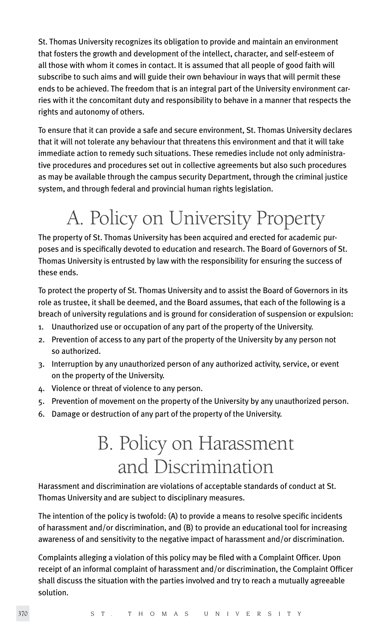St. Thomas University recognizes its obligation to provide and maintain an environment that fosters the growth and development of the intellect, character, and self-esteem of all those with whom it comes in contact. It is assumed that all people of good faith will subscribe to such aims and will guide their own behaviour in ways that will permit these ends to be achieved. The freedom that is an integral part of the University environment carries with it the concomitant duty and responsibility to behave in a manner that respects the rights and autonomy of others.

To ensure that it can provide a safe and secure environment, St. Thomas University declares that it will not tolerate any behaviour that threatens this environment and that it will take immediate action to remedy such situations. These remedies include not only administrative procedures and procedures set out in collective agreements but also such procedures as may be available through the campus security Department, through the criminal justice system, and through federal and provincial human rights legislation.

# A. Policy on University Property

The property of St. Thomas University has been acquired and erected for academic purposes and is specifically devoted to education and research. The Board of Governors of St. Thomas University is entrusted by law with the responsibility for ensuring the success of these ends.

To protect the property of St. Thomas University and to assist the Board of Governors in its role as trustee, it shall be deemed, and the Board assumes, that each of the following is a breach of university regulations and is ground for consideration of suspension or expulsion:

- 1. Unauthorized use or occupation of any part of the property of the University.
- 2. Prevention of access to any part of the property of the University by any person not so authorized.
- 3. Interruption by any unauthorized person of any authorized activity, service, or event on the property of the University.
- 4. Violence or threat of violence to any person.
- 5. Prevention of movement on the property of the University by any unauthorized person.
- 6. Damage or destruction of any part of the property of the University.

# B. Policy on Harassment and Discrimination

Harassment and discrimination are violations of acceptable standards of conduct at St. Thomas University and are subject to disciplinary measures.

The intention of the policy is twofold: (A) to provide a means to resolve specific incidents of harassment and/or discrimination, and (B) to provide an educational tool for increasing awareness of and sensitivity to the negative impact of harassment and/or discrimination.

Complaints alleging a violation of this policy may be filed with a Complaint Officer. Upon receipt of an informal complaint of harassment and/or discrimination, the Complaint Officer shall discuss the situation with the parties involved and try to reach a mutually agreeable solution.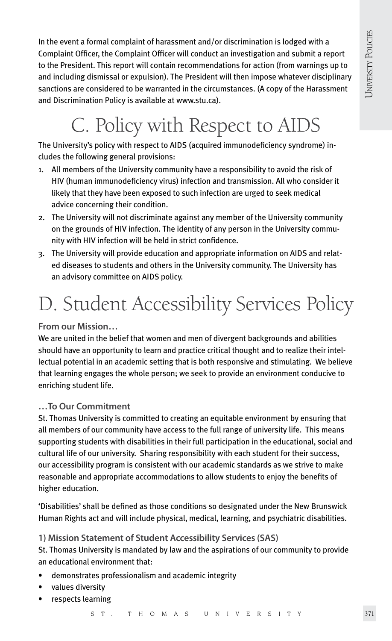In the event a formal complaint of harassment and/or discrimination is lodged with a Complaint Officer, the Complaint Officer will conduct an investigation and submit a report to the President. This report will contain recommendations for action (from warnings up to and including dismissal or expulsion). The President will then impose whatever disciplinary sanctions are considered to be warranted in the circumstances. (A copy of the Harassment and Discrimination Policy is available at www.stu.ca).

# C. Policy with Respect to AIDS

The University's policy with respect to AIDS (acquired immunodeficiency syndrome) includes the following general provisions:

- 1. All members of the University community have a responsibility to avoid the risk of HIV (human immunodeficiency virus) infection and transmission. All who consider it likely that they have been exposed to such infection are urged to seek medical advice concerning their condition.
- 2. The University will not discriminate against any member of the University community on the grounds of HIV infection. The identity of any person in the University community with HIV infection will be held in strict confidence.
- 3. The University will provide education and appropriate information on AIDS and related diseases to students and others in the University community. The University has an advisory committee on AIDS policy.

# D. Student Accessibility Services Policy

**From our Mission…** 

We are united in the belief that women and men of divergent backgrounds and abilities should have an opportunity to learn and practice critical thought and to realize their intellectual potential in an academic setting that is both responsive and stimulating. We believe that learning engages the whole person; we seek to provide an environment conducive to enriching student life.

### **…To Our Commitment**

St. Thomas University is committed to creating an equitable environment by ensuring that all members of our community have access to the full range of university life. This means supporting students with disabilities in their full participation in the educational, social and cultural life of our university. Sharing responsibility with each student for their success, our accessibility program is consistent with our academic standards as we strive to make reasonable and appropriate accommodations to allow students to enjoy the benefits of higher education.

'Disabilities' shall be defined as those conditions so designated under the New Brunswick Human Rights act and will include physical, medical, learning, and psychiatric disabilities.

### **1) Mission Statement of Student Accessibility Services (SAS)**

St. Thomas University is mandated by law and the aspirations of our community to provide an educational environment that:

- demonstrates professionalism and academic integrity
- values diversity
- respects learning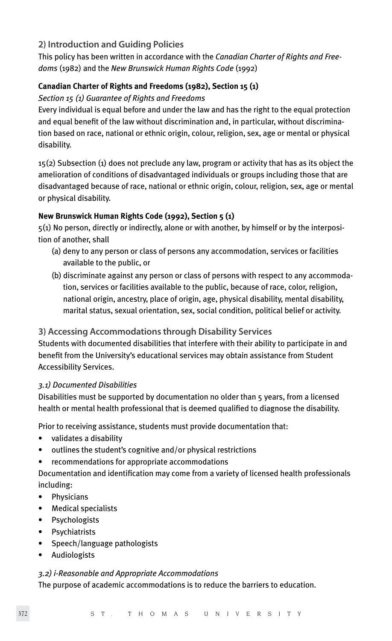## **2) Introduction and Guiding Policies**

This policy has been written in accordance with the *Canadian Charter of Rights and Freedoms* (1982) and the *New Brunswick Human Rights Code* (1992)

### **Canadian Charter of Rights and Freedoms (1982), Section 15 (1)**

### *Section 15 (1) Guarantee of Rights and Freedoms*

Every individual is equal before and under the law and has the right to the equal protection and equal benefit of the law without discrimination and, in particular, without discrimination based on race, national or ethnic origin, colour, religion, sex, age or mental or physical disability.

15(2) Subsection (1) does not preclude any law, program or activity that has as its object the amelioration of conditions of disadvantaged individuals or groups including those that are disadvantaged because of race, national or ethnic origin, colour, religion, sex, age or mental or physical disability.

#### **New Brunswick Human Rights Code (1992), Section 5 (1)**

5(1) No person, directly or indirectly, alone or with another, by himself or by the interposition of another, shall

- (a) deny to any person or class of persons any accommodation, services or facilities available to the public, or
- (b) discriminate against any person or class of persons with respect to any accommoda tion, services or facilities available to the public, because of race, color, religion, national origin, ancestry, place of origin, age, physical disability, mental disability, marital status, sexual orientation, sex, social condition, political belief or activity.

### **3) Accessing Accommodations through Disability Services**

Students with documented disabilities that interfere with their ability to participate in and benefit from the University's educational services may obtain assistance from Student Accessibility Services.

#### *3.1) Documented Disabilities*

Disabilities must be supported by documentation no older than 5 years, from a licensed health or mental health professional that is deemed qualified to diagnose the disability.

Prior to receiving assistance, students must provide documentation that:

- validates a disability
- outlines the student's cognitive and/or physical restrictions
- recommendations for appropriate accommodations

Documentation and identification may come from a variety of licensed health professionals including:

- Physicians
- Medical specialists
- Psychologists
- **Psychiatrists**
- Speech/language pathologists
- Audiologists

#### *3.2) i-Reasonable and Appropriate Accommodations*

The purpose of academic accommodations is to reduce the barriers to education.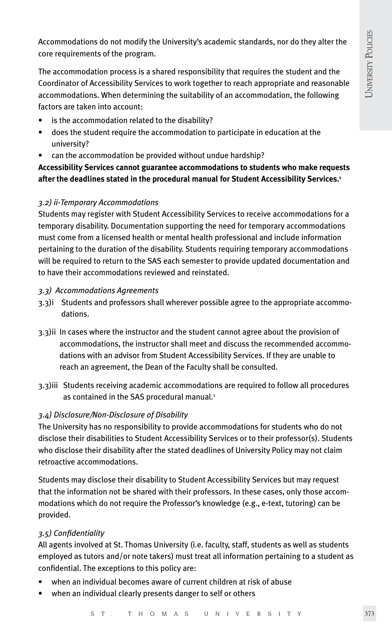Accommodations do not modify the University's academic standards, nor do they alter the core requirements of the program.

The accommodation process is a shared responsibility that requires the student and the Coordinator of Accessibility Services to work together to reach appropriate and reasonable accommodations. When determining the suitability of an accommodation, the following factors are taken into account:

- is the accommodation related to the disability?
- does the student require the accommodation to participate in education at the university?
- can the accommodation be provided without undue hardship?

**Accessibility Services cannot guarantee accommodations to students who make requests after the deadlines stated in the procedural manual for Student Accessibility Services.1**

#### *3.2) ii-Temporary Accommodations*

Students may register with Student Accessibility Services to receive accommodations for a temporary disability. Documentation supporting the need for temporary accommodations must come from a licensed health or mental health professional and include information pertaining to the duration of the disability. Students requiring temporary accommodations will be required to return to the SAS each semester to provide updated documentation and to have their accommodations reviewed and reinstated.

#### *3.3) Accommodations Agreements*

- 3.3)i Students and professors shall wherever possible agree to the appropriate accommo dations.
- 3.3)ii In cases where the instructor and the student cannot agree about the provision of accommodations, the instructor shall meet and discuss the recommended accommo dations with an advisor from Student Accessibility Services. If they are unable to reach an agreement, the Dean of the Faculty shall be consulted.
- 3.3)iii Students receiving academic accommodations are required to follow all procedures as contained in the SAS procedural manual.<sup>1</sup>

#### *3.4) Disclosure/Non-Disclosure of Disability*

The University has no responsibility to provide accommodations for students who do not disclose their disabilities to Student Accessibility Services or to their professor(s). Students who disclose their disability after the stated deadlines of University Policy may not claim retroactive accommodations.

Students may disclose their disability to Student Accessibility Services but may request that the information not be shared with their professors. In these cases, only those accommodations which do not require the Professor's knowledge (e.g., e-text, tutoring) can be provided.

#### *3.5) Confidentiality*

All agents involved at St. Thomas University (i.e. faculty, staff, students as well as students employed as tutors and/or note takers) must treat all information pertaining to a student as confidential. The exceptions to this policy are:

- when an individual becomes aware of current children at risk of abuse
- when an individual clearly presents danger to self or others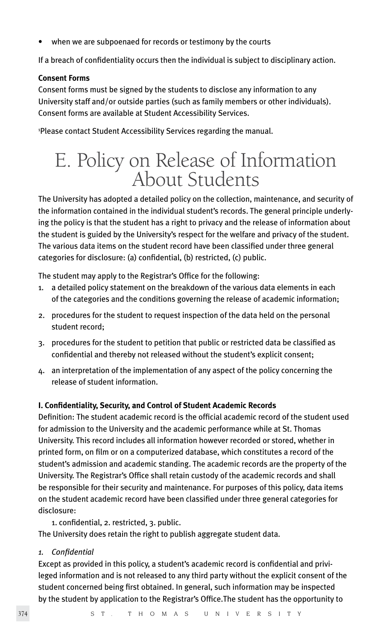when we are subpoenaed for records or testimony by the courts

If a breach of confidentiality occurs then the individual is subject to disciplinary action.

#### **Consent Forms**

Consent forms must be signed by the students to disclose any information to any University staff and/or outside parties (such as family members or other individuals). Consent forms are available at Student Accessibility Services.

1 Please contact Student Accessibility Services regarding the manual.

# E. Policy on Release of Information About Students

The University has adopted a detailed policy on the collection, maintenance, and security of the information contained in the individual student's records. The general principle underlying the policy is that the student has a right to privacy and the release of information about the student is guided by the University's respect for the welfare and privacy of the student. The various data items on the student record have been classified under three general categories for disclosure: (a) confidential, (b) restricted, (c) public.

The student may apply to the Registrar's Office for the following:

- 1. a detailed policy statement on the breakdown of the various data elements in each of the categories and the conditions governing the release of academic information;
- 2. procedures for the student to request inspection of the data held on the personal student record;
- 3. procedures for the student to petition that public or restricted data be classified as confidential and thereby not released without the student's explicit consent;
- 4. an interpretation of the implementation of any aspect of the policy concerning the release of student information.

#### **I. Confidentiality, Security, and Control of Student Academic Records**

Definition: The student academic record is the official academic record of the student used for admission to the University and the academic performance while at St. Thomas University. This record includes all information however recorded or stored, whether in printed form, on film or on a computerized database, which constitutes a record of the student's admission and academic standing. The academic records are the property of the University. The Registrar's Office shall retain custody of the academic records and shall be responsible for their security and maintenance. For purposes of this policy, data items on the student academic record have been classified under three general categories for disclosure:

1. confidential, 2. restricted, 3. public.

The University does retain the right to publish aggregate student data.

*1. Confidential*

Except as provided in this policy, a student's academic record is confidential and privileged information and is not released to any third party without the explicit consent of the student concerned being first obtained. In general, such information may be inspected by the student by application to the Registrar's Office.The student has the opportunity to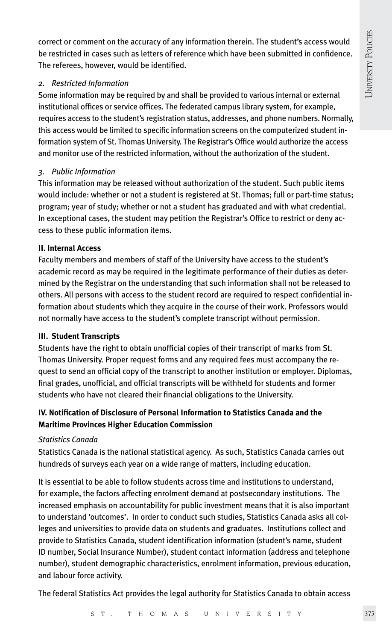correct or comment on the accuracy of any information therein. The student's access would be restricted in cases such as letters of reference which have been submitted in confidence. The referees, however, would be identified.

#### *2. Restricted Information*

Some information may be required by and shall be provided to various internal or external institutional offices or service offices. The federated campus library system, for example, requires access to the student's registration status, addresses, and phone numbers. Normally, this access would be limited to specific information screens on the computerized student information system of St. Thomas University. The Registrar's Office would authorize the access and monitor use of the restricted information, without the authorization of the student.

# *3. Public Information*

This information may be released without authorization of the student. Such public items would include: whether or not a student is registered at St. Thomas; full or part-time status; program; year of study; whether or not a student has graduated and with what credential. In exceptional cases, the student may petition the Registrar's Office to restrict or deny access to these public information items.

# **II. Internal Access**

Faculty members and members of staff of the University have access to the student's academic record as may be required in the legitimate performance of their duties as determined by the Registrar on the understanding that such information shall not be released to others. All persons with access to the student record are required to respect confidential information about students which they acquire in the course of their work. Professors would not normally have access to the student's complete transcript without permission.

# **III. Student Transcripts**

Students have the right to obtain unofficial copies of their transcript of marks from St. Thomas University. Proper request forms and any required fees must accompany the request to send an official copy of the transcript to another institution or employer. Diplomas, final grades, unofficial, and official transcripts will be withheld for students and former students who have not cleared their financial obligations to the University.

# **IV. Notification of Disclosure of Personal Information to Statistics Canada and the Maritime Provinces Higher Education Commission**

# *Statistics Canada*

Statistics Canada is the national statistical agency. As such, Statistics Canada carries out hundreds of surveys each year on a wide range of matters, including education.

It is essential to be able to follow students across time and institutions to understand, for example, the factors affecting enrolment demand at postsecondary institutions. The increased emphasis on accountability for public investment means that it is also important to understand 'outcomes'. In order to conduct such studies, Statistics Canada asks all colleges and universities to provide data on students and graduates. Institutions collect and provide to Statistics Canada, student identification information (student's name, student ID number, Social Insurance Number), student contact information (address and telephone number), student demographic characteristics, enrolment information, previous education, and labour force activity.

The federal Statistics Act provides the legal authority for Statistics Canada to obtain access